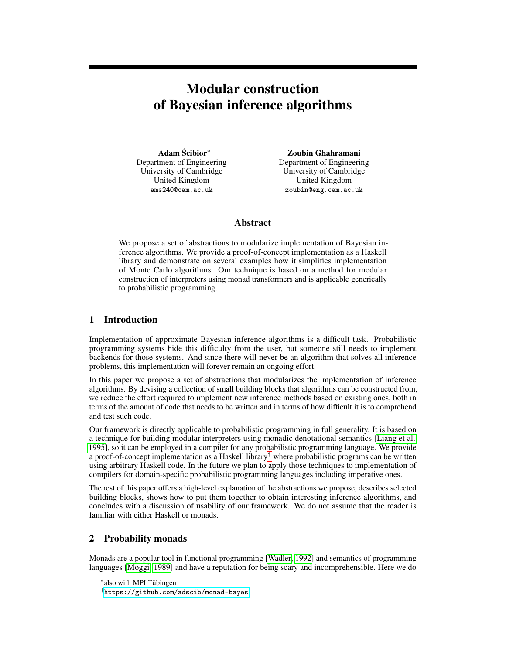# Modular construction of Bayesian inference algorithms

Adam Scibior\* Department of Engineering University of Cambridge United Kingdom ams240@cam.ac.uk

Zoubin Ghahramani Department of Engineering University of Cambridge United Kingdom zoubin@eng.cam.ac.uk

## Abstract

We propose a set of abstractions to modularize implementation of Bayesian inference algorithms. We provide a proof-of-concept implementation as a Haskell library and demonstrate on several examples how it simplifies implementation of Monte Carlo algorithms. Our technique is based on a method for modular construction of interpreters using monad transformers and is applicable generically to probabilistic programming.

## 1 Introduction

Implementation of approximate Bayesian inference algorithms is a difficult task. Probabilistic programming systems hide this difficulty from the user, but someone still needs to implement backends for those systems. And since there will never be an algorithm that solves all inference problems, this implementation will forever remain an ongoing effort.

In this paper we propose a set of abstractions that modularizes the implementation of inference algorithms. By devising a collection of small building blocks that algorithms can be constructed from, we reduce the effort required to implement new inference methods based on existing ones, both in terms of the amount of code that needs to be written and in terms of how difficult it is to comprehend and test such code.

Our framework is directly applicable to probabilistic programming in full generality. It is based on a technique for building modular interpreters using monadic denotational semantics [\[Liang et al.,](#page-4-0) [1995\]](#page-4-0), so it can be employed in a compiler for any probabilistic programming language. We provide a proof-of-concept implementation as a Haskell library† where probabilistic programs can be written using arbitrary Haskell code. In the future we plan to apply those techniques to implementation of compilers for domain-specific probabilistic programming languages including imperative ones.

The rest of this paper offers a high-level explanation of the abstractions we propose, describes selected building blocks, shows how to put them together to obtain interesting inference algorithms, and concludes with a discussion of usability of our framework. We do not assume that the reader is familiar with either Haskell or monads.

## 2 Probability monads

Monads are a popular tool in functional programming [\[Wadler, 1992\]](#page-4-1) and semantics of programming languages [\[Moggi, 1989\]](#page-4-2) and have a reputation for being scary and incomprehensible. Here we do

<sup>∗</sup> also with MPI Tübingen

<sup>†</sup> <https://github.com/adscib/monad-bayes>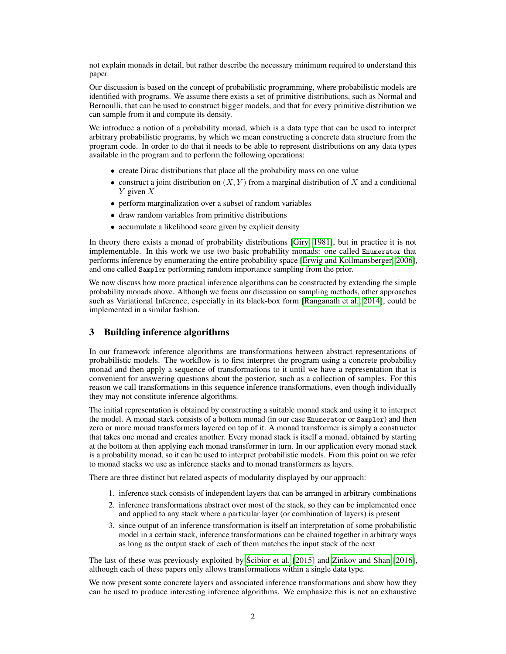not explain monads in detail, but rather describe the necessary minimum required to understand this paper.

Our discussion is based on the concept of probabilistic programming, where probabilistic models are identified with programs. We assume there exists a set of primitive distributions, such as Normal and Bernoulli, that can be used to construct bigger models, and that for every primitive distribution we can sample from it and compute its density.

We introduce a notion of a probability monad, which is a data type that can be used to interpret arbitrary probabilistic programs, by which we mean constructing a concrete data structure from the program code. In order to do that it needs to be able to represent distributions on any data types available in the program and to perform the following operations:

- create Dirac distributions that place all the probability mass on one value
- construct a joint distribution on  $(X, Y)$  from a marginal distribution of X and a conditional  $Y$  given  $X$
- perform marginalization over a subset of random variables
- draw random variables from primitive distributions
- accumulate a likelihood score given by explicit density

In theory there exists a monad of probability distributions [\[Giry, 1981\]](#page-4-3), but in practice it is not implementable. In this work we use two basic probability monads: one called Enumerator that performs inference by enumerating the entire probability space [\[Erwig and Kollmansberger, 2006\]](#page-4-4), and one called Sampler performing random importance sampling from the prior.

We now discuss how more practical inference algorithms can be constructed by extending the simple probability monads above. Although we focus our discussion on sampling methods, other approaches such as Variational Inference, especially in its black-box form [\[Ranganath et al., 2014\]](#page-4-5), could be implemented in a similar fashion.

# 3 Building inference algorithms

In our framework inference algorithms are transformations between abstract representations of probabilistic models. The workflow is to first interpret the program using a concrete probability monad and then apply a sequence of transformations to it until we have a representation that is convenient for answering questions about the posterior, such as a collection of samples. For this reason we call transformations in this sequence inference transformations, even though individually they may not constitute inference algorithms.

The initial representation is obtained by constructing a suitable monad stack and using it to interpret the model. A monad stack consists of a bottom monad (in our case Enumerator or Sampler) and then zero or more monad transformers layered on top of it. A monad transformer is simply a constructor that takes one monad and creates another. Every monad stack is itself a monad, obtained by starting at the bottom at then applying each monad transformer in turn. In our application every monad stack is a probability monad, so it can be used to interpret probabilistic models. From this point on we refer to monad stacks we use as inference stacks and to monad transformers as layers.

There are three distinct but related aspects of modularity displayed by our approach:

- 1. inference stack consists of independent layers that can be arranged in arbitrary combinations
- 2. inference transformations abstract over most of the stack, so they can be implemented once and applied to any stack where a particular layer (or combination of layers) is present
- 3. since output of an inference transformation is itself an interpretation of some probabilistic model in a certain stack, inference transformations can be chained together in arbitrary ways as long as the output stack of each of them matches the input stack of the next

The last of these was previously exploited by [Scibior et al.](#page-4-6) [\[2015\]](#page-4-6) and [Zinkov and Shan](#page-4-7) [\[2016\]](#page-4-7), ´ although each of these papers only allows transformations within a single data type.

We now present some concrete layers and associated inference transformations and show how they can be used to produce interesting inference algorithms. We emphasize this is not an exhaustive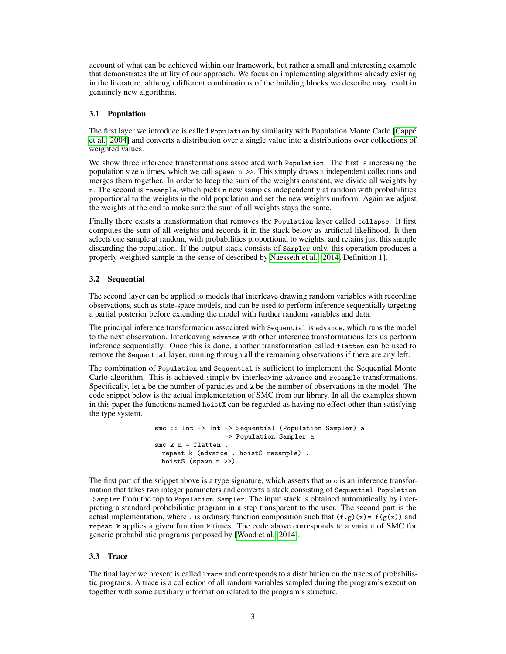account of what can be achieved within our framework, but rather a small and interesting example that demonstrates the utility of our approach. We focus on implementing algorithms already existing in the literature, although different combinations of the building blocks we describe may result in genuinely new algorithms.

### 3.1 Population

The first layer we introduce is called Population by similarity with Population Monte Carlo [\[Cappé](#page-4-8) [et al., 2004\]](#page-4-8) and converts a distribution over a single value into a distributions over collections of weighted values.

We show three inference transformations associated with Population. The first is increasing the population size n times, which we call spawn n >>. This simply draws n independent collections and merges them together. In order to keep the sum of the weights constant, we divide all weights by n. The second is resample, which picks n new samples independently at random with probabilities proportional to the weights in the old population and set the new weights uniform. Again we adjust the weights at the end to make sure the sum of all weights stays the same.

Finally there exists a transformation that removes the Population layer called collapse. It first computes the sum of all weights and records it in the stack below as artificial likelihood. It then selects one sample at random, with probabilities proportional to weights, and retains just this sample discarding the population. If the output stack consists of Sampler only, this operation produces a properly weighted sample in the sense of described by [Naesseth et al.](#page-4-9) [\[2014,](#page-4-9) Definition 1].

#### 3.2 Sequential

The second layer can be applied to models that interleave drawing random variables with recording observations, such as state-space models, and can be used to perform inference sequentially targeting a partial posterior before extending the model with further random variables and data.

The principal inference transformation associated with Sequential is advance, which runs the model to the next observation. Interleaving advance with other inference transformations lets us perform inference sequentially. Once this is done, another transformation called flatten can be used to remove the Sequential layer, running through all the remaining observations if there are any left.

The combination of Population and Sequential is sufficient to implement the Sequential Monte Carlo algorithm. This is achieved simply by interleaving advance and resample transformations. Specifically, let n be the number of particles and k be the number of observations in the model. The code snippet below is the actual implementation of SMC from our library. In all the examples shown in this paper the functions named hoistX can be regarded as having no effect other than satisfying the type system.

```
smc :: Int -> Int -> Sequential (Population Sampler) a
                 -> Population Sampler a
smc k n = flatten.
 repeat k (advance . hoistS resample) .
 hoistS (spawn n >>)
```
The first part of the snippet above is a type signature, which asserts that smc is an inference transformation that takes two integer parameters and converts a stack consisting of Sequential Population Sampler from the top to Population Sampler. The input stack is obtained automatically by interpreting a standard probabilistic program in a step transparent to the user. The second part is the actual implementation, where . is ordinary function composition such that  $(f, g)(x) = f(g(x))$  and repeat k applies a given function k times. The code above corresponds to a variant of SMC for generic probabilistic programs proposed by [\[Wood et al., 2014\]](#page-4-10).

#### 3.3 Trace

The final layer we present is called Trace and corresponds to a distribution on the traces of probabilistic programs. A trace is a collection of all random variables sampled during the program's execution together with some auxiliary information related to the program's structure.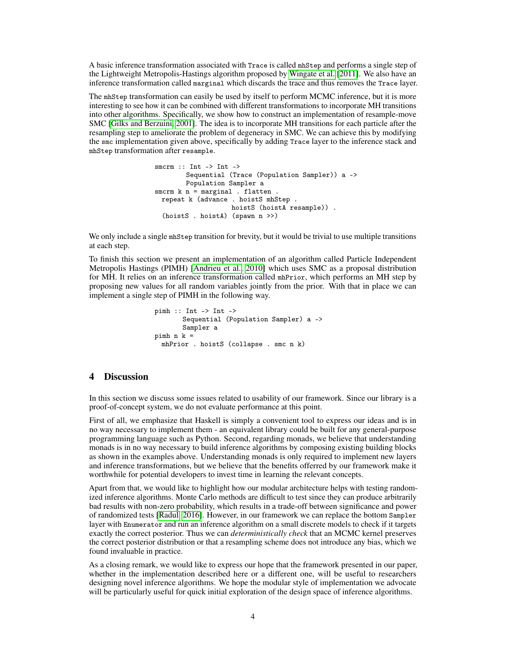A basic inference transformation associated with Trace is called mhStep and performs a single step of the Lightweight Metropolis-Hastings algorithm proposed by [Wingate et al.](#page-4-11) [\[2011\]](#page-4-11). We also have an inference transformation called marginal which discards the trace and thus removes the Trace layer.

The mhStep transformation can easily be used by itself to perform MCMC inference, but it is more interesting to see how it can be combined with different transformations to incorporate MH transitions into other algorithms. Specifically, we show how to construct an implementation of resample-move SMC [\[Gilks and Berzuini, 2001\]](#page-4-12). The idea is to incorporate MH transitions for each particle after the resampling step to ameliorate the problem of degeneracy in SMC. We can achieve this by modifying the smc implementation given above, specifically by adding Trace layer to the inference stack and mhStep transformation after resample.

```
smcrm :: Int -> Int ->
        Sequential (Trace (Population Sampler)) a ->
        Population Sampler a
smcrm k n = marginal . flatten .
 repeat k (advance . hoistS mhStep .
                   hoistS (hoistA resample)) .
  (hoistS . hoistA) (spawn n >>)
```
We only include a single mhStep transition for brevity, but it would be trivial to use multiple transitions at each step.

To finish this section we present an implementation of an algorithm called Particle Independent Metropolis Hastings (PIMH) [\[Andrieu et al., 2010\]](#page-4-13) which uses SMC as a proposal distribution for MH. It relies on an inference transformation called mhPrior, which performs an MH step by proposing new values for all random variables jointly from the prior. With that in place we can implement a single step of PIMH in the following way.

```
pimh :: Int -> Int ->
       Sequential (Population Sampler) a ->
       Sampler a
pimh n k =
 mhPrior . hoistS (collapse . smc n k)
```
## 4 Discussion

In this section we discuss some issues related to usability of our framework. Since our library is a proof-of-concept system, we do not evaluate performance at this point.

First of all, we emphasize that Haskell is simply a convenient tool to express our ideas and is in no way necessary to implement them - an equivalent library could be built for any general-purpose programming language such as Python. Second, regarding monads, we believe that understanding monads is in no way necessary to build inference algorithms by composing existing building blocks as shown in the examples above. Understanding monads is only required to implement new layers and inference transformations, but we believe that the benefits offerred by our framework make it worthwhile for potential developers to invest time in learning the relevant concepts.

Apart from that, we would like to highlight how our modular architecture helps with testing randomized inference algorithms. Monte Carlo methods are difficult to test since they can produce arbitrarily bad results with non-zero probability, which results in a trade-off between significance and power of randomized tests [\[Radul, 2016\]](#page-4-14). However, in our framework we can replace the bottom Sampler layer with Enumerator and run an inference algorithm on a small discrete models to check if it targets exactly the correct posterior. Thus we can *deterministically check* that an MCMC kernel preserves the correct posterior distribution or that a resampling scheme does not introduce any bias, which we found invaluable in practice.

As a closing remark, we would like to express our hope that the framework presented in our paper, whether in the implementation described here or a different one, will be useful to researchers designing novel inference algorithms. We hope the modular style of implementation we advocate will be particularly useful for quick initial exploration of the design space of inference algorithms.